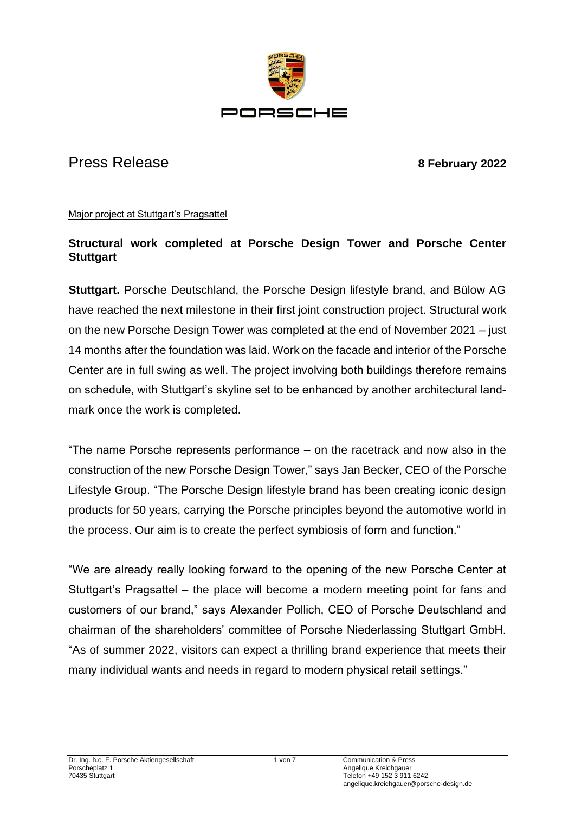

# Press Release **8 February 2022**

Major project at Stuttgart's Pragsattel

### **Structural work completed at Porsche Design Tower and Porsche Center Stuttgart**

**Stuttgart.** Porsche Deutschland, the Porsche Design lifestyle brand, and Bülow AG have reached the next milestone in their first joint construction project. Structural work on the new Porsche Design Tower was completed at the end of November 2021 – just 14 months after the foundation was laid. Work on the facade and interior of the Porsche Center are in full swing as well. The project involving both buildings therefore remains on schedule, with Stuttgart's skyline set to be enhanced by another architectural landmark once the work is completed.

"The name Porsche represents performance – on the racetrack and now also in the construction of the new Porsche Design Tower," says Jan Becker, CEO of the Porsche Lifestyle Group. "The Porsche Design lifestyle brand has been creating iconic design products for 50 years, carrying the Porsche principles beyond the automotive world in the process. Our aim is to create the perfect symbiosis of form and function."

"We are already really looking forward to the opening of the new Porsche Center at Stuttgart's Pragsattel – the place will become a modern meeting point for fans and customers of our brand," says Alexander Pollich, CEO of Porsche Deutschland and chairman of the shareholders' committee of Porsche Niederlassing Stuttgart GmbH. "As of summer 2022, visitors can expect a thrilling brand experience that meets their many individual wants and needs in regard to modern physical retail settings."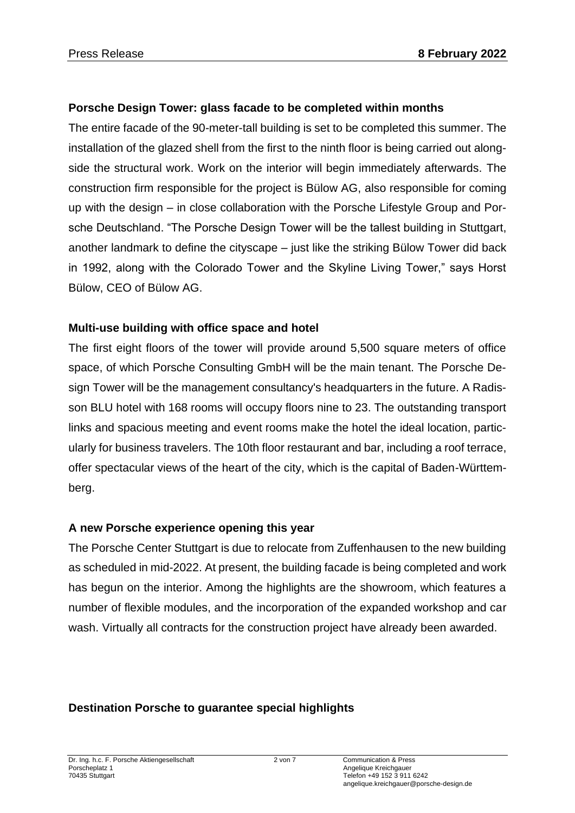### **Porsche Design Tower: glass facade to be completed within months**

The entire facade of the 90-meter-tall building is set to be completed this summer. The installation of the glazed shell from the first to the ninth floor is being carried out alongside the structural work. Work on the interior will begin immediately afterwards. The construction firm responsible for the project is Bülow AG, also responsible for coming up with the design – in close collaboration with the Porsche Lifestyle Group and Porsche Deutschland. "The Porsche Design Tower will be the tallest building in Stuttgart, another landmark to define the cityscape – just like the striking Bülow Tower did back in 1992, along with the Colorado Tower and the Skyline Living Tower," says Horst Bülow, CEO of Bülow AG.

#### **Multi-use building with office space and hotel**

The first eight floors of the tower will provide around 5,500 square meters of office space, of which Porsche Consulting GmbH will be the main tenant. The Porsche Design Tower will be the management consultancy's headquarters in the future. A Radisson BLU hotel with 168 rooms will occupy floors nine to 23. The outstanding transport links and spacious meeting and event rooms make the hotel the ideal location, particularly for business travelers. The 10th floor restaurant and bar, including a roof terrace, offer spectacular views of the heart of the city, which is the capital of Baden-Württemberg.

#### **A new Porsche experience opening this year**

The Porsche Center Stuttgart is due to relocate from Zuffenhausen to the new building as scheduled in mid-2022. At present, the building facade is being completed and work has begun on the interior. Among the highlights are the showroom, which features a number of flexible modules, and the incorporation of the expanded workshop and car wash. Virtually all contracts for the construction project have already been awarded.

## **Destination Porsche to guarantee special highlights**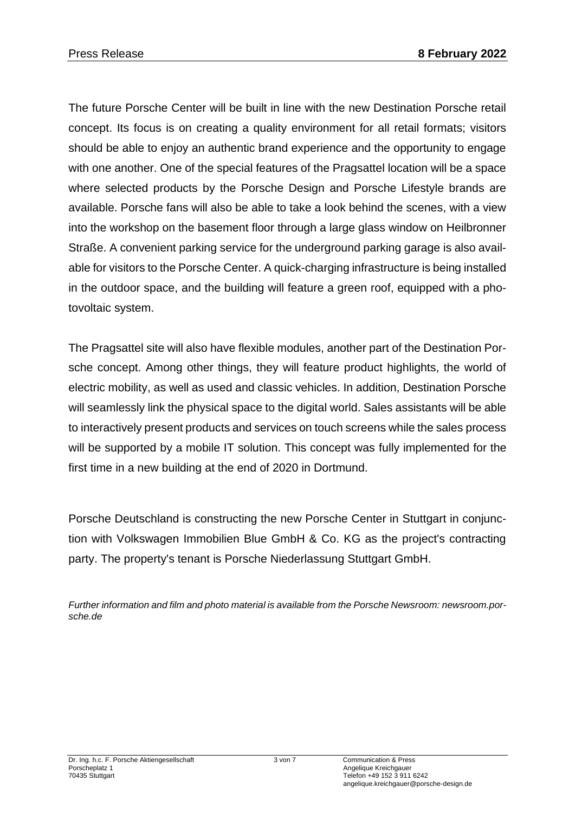The future Porsche Center will be built in line with the new Destination Porsche retail concept. Its focus is on creating a quality environment for all retail formats; visitors should be able to enjoy an authentic brand experience and the opportunity to engage with one another. One of the special features of the Pragsattel location will be a space where selected products by the Porsche Design and Porsche Lifestyle brands are available. Porsche fans will also be able to take a look behind the scenes, with a view into the workshop on the basement floor through a large glass window on Heilbronner Straße. A convenient parking service for the underground parking garage is also available for visitors to the Porsche Center. A quick-charging infrastructure is being installed in the outdoor space, and the building will feature a green roof, equipped with a photovoltaic system.

The Pragsattel site will also have flexible modules, another part of the Destination Porsche concept. Among other things, they will feature product highlights, the world of electric mobility, as well as used and classic vehicles. In addition, Destination Porsche will seamlessly link the physical space to the digital world. Sales assistants will be able to interactively present products and services on touch screens while the sales process will be supported by a mobile IT solution. This concept was fully implemented for the first time in a new building at the end of 2020 in Dortmund.

Porsche Deutschland is constructing the new Porsche Center in Stuttgart in conjunction with Volkswagen Immobilien Blue GmbH & Co. KG as the project's contracting party. The property's tenant is Porsche Niederlassung Stuttgart GmbH.

*Further information and film and photo material is available from the Porsche Newsroom[: newsroom.por](http://www.newsroom.porsche.de/)[sche.de](http://www.newsroom.porsche.de/)*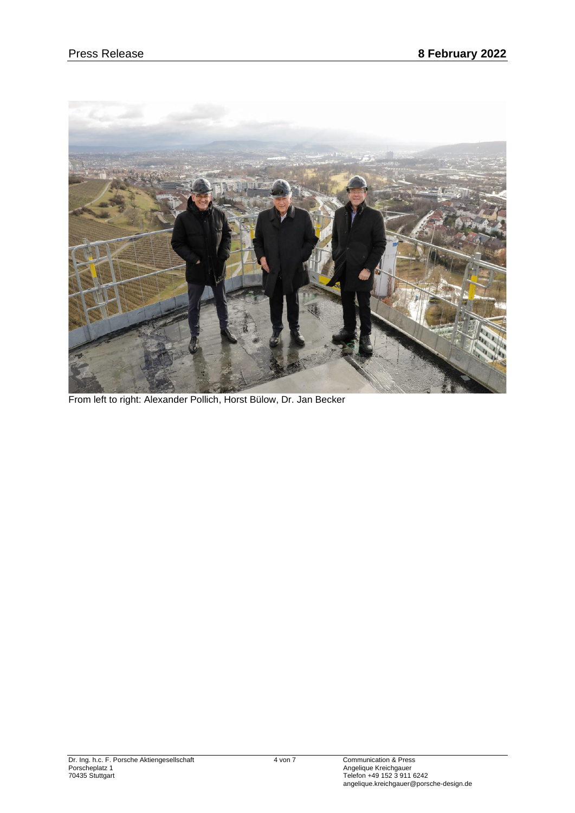

From left to right: Alexander Pollich, Horst Bülow, Dr. Jan Becker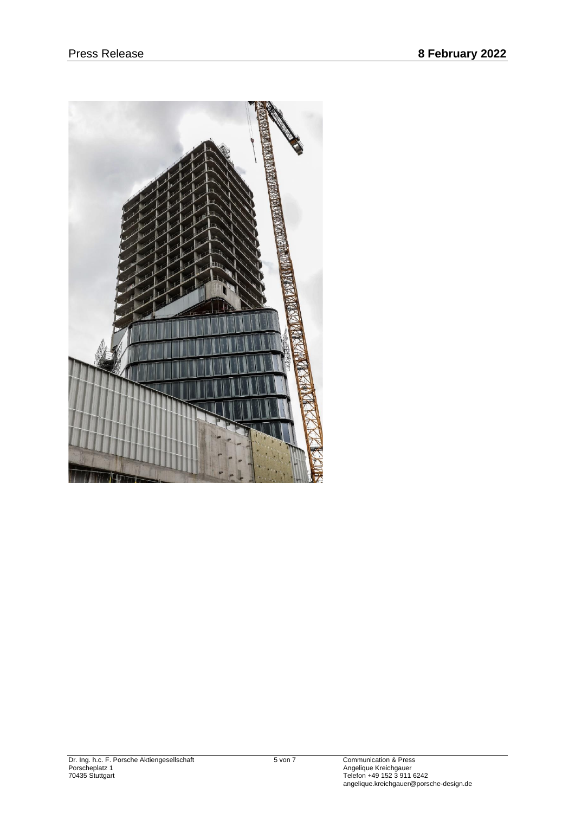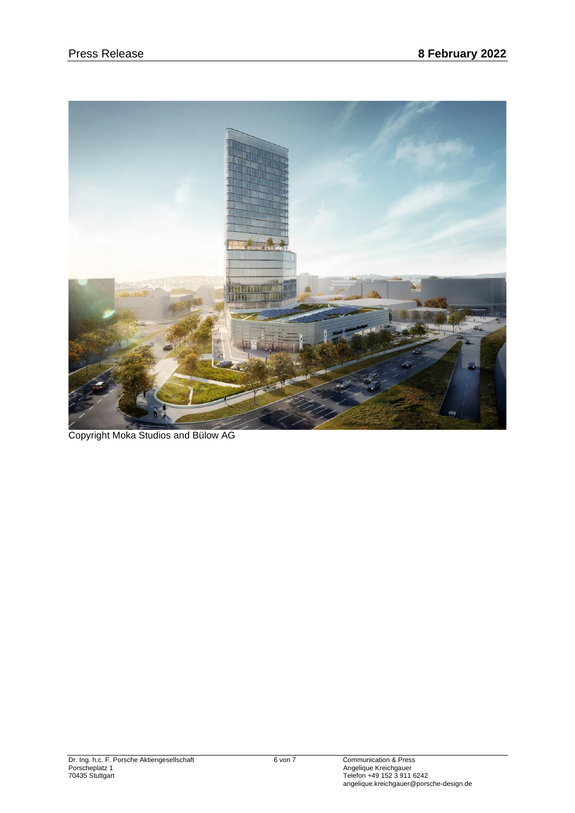

Copyright Moka Studios and Bülow AG